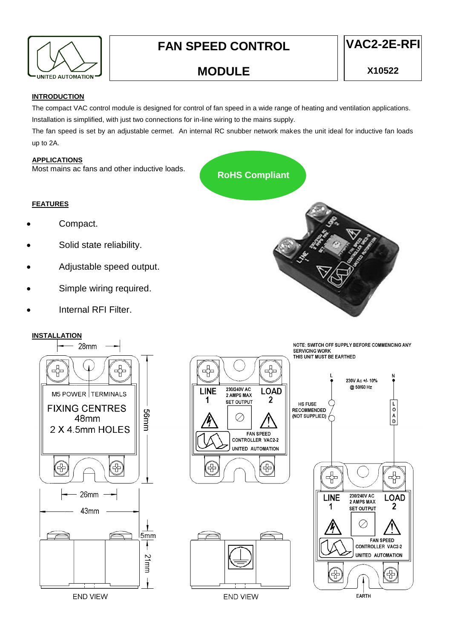

# **FAN SPEED CONTROL**



## **MODULE**

#### **INTRODUCTION**

The compact VAC control module is designed for control of fan speed in a wide range of heating and ventilation applications. Installation is simplified, with just two connections for in-line wiring to the mains supply.

The fan speed is set by an adjustable cermet. An internal RC snubber network makes the unit ideal for inductive fan loads up to 2A.

#### **APPLICATIONS**

Most mains ac fans and other inductive loads.

## **RoHS Compliant**

#### **FEATURES**

- Compact.
- Solid state reliability.
- Adjustable speed output.
- Simple wiring required.
- Internal RFI Filter.

#### **INSTALLATION**



**END VIEW** 





**END VIEW** 



NOTE: SWITCH OFF SUPPLY BEFORE COMMENCING ANY **SERVICING WORK** THIS UNIT MUST BE EARTHED